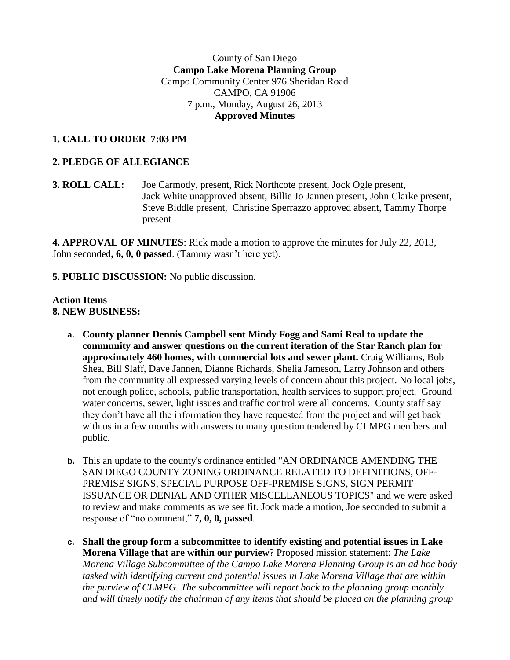## County of San Diego **Campo Lake Morena Planning Group** Campo Community Center 976 Sheridan Road CAMPO, CA 91906 7 p.m., Monday, August 26, 2013 **Approved Minutes**

# **1. CALL TO ORDER 7:03 PM**

## **2. PLEDGE OF ALLEGIANCE**

**3. ROLL CALL:** Joe Carmody, present, Rick Northcote present, Jock Ogle present, Jack White unapproved absent, Billie Jo Jannen present, John Clarke present, Steve Biddle present, Christine Sperrazzo approved absent, Tammy Thorpe present

**4. APPROVAL OF MINUTES**: Rick made a motion to approve the minutes for July 22, 2013, John seconded**, 6, 0, 0 passed**. (Tammy wasn't here yet).

**5. PUBLIC DISCUSSION:** No public discussion.

#### **Action Items 8. NEW BUSINESS:**

- **a. County planner Dennis Campbell sent Mindy Fogg and Sami Real to update the community and answer questions on the current iteration of the Star Ranch plan for approximately 460 homes, with commercial lots and sewer plant.** Craig Williams, Bob Shea, Bill Slaff, Dave Jannen, Dianne Richards, Shelia Jameson, Larry Johnson and others from the community all expressed varying levels of concern about this project. No local jobs, not enough police, schools, public transportation, health services to support project. Ground water concerns, sewer, light issues and traffic control were all concerns. County staff say they don't have all the information they have requested from the project and will get back with us in a few months with answers to many question tendered by CLMPG members and public.
- **b.** This an update to the county's ordinance entitled "AN ORDINANCE AMENDING THE SAN DIEGO COUNTY ZONING ORDINANCE RELATED TO DEFINITIONS, OFF-PREMISE SIGNS, SPECIAL PURPOSE OFF-PREMISE SIGNS, SIGN PERMIT ISSUANCE OR DENIAL AND OTHER MISCELLANEOUS TOPICS" and we were asked to review and make comments as we see fit. Jock made a motion, Joe seconded to submit a response of "no comment," **7, 0, 0, passed**.
- **c. Shall the group form a subcommittee to identify existing and potential issues in Lake Morena Village that are within our purview**? Proposed mission statement: *The Lake Morena Village Subcommittee of the Campo Lake Morena Planning Group is an ad hoc body tasked with identifying current and potential issues in Lake Morena Village that are within the purview of CLMPG. The subcommittee will report back to the planning group monthly and will timely notify the chairman of any items that should be placed on the planning group*